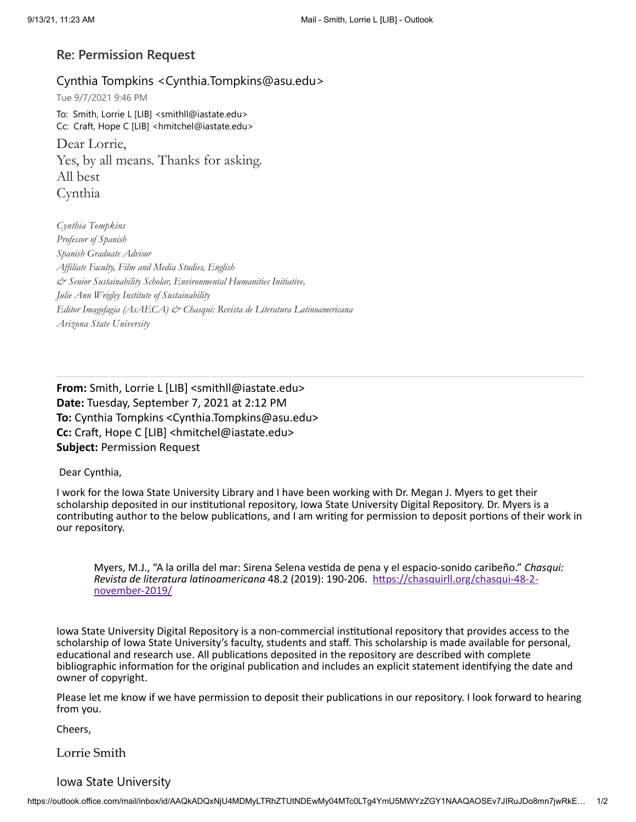## **Re: Permission Request**

Cynthia Tompkins <Cynthia.Tompkins@asu.edu> Tue 9/7/2021 9:46 PM To: Smith, Lorrie L [LIB] <smithll@iastate.edu> Cc: Craft, Hope C [LIB] <hmitchel@iastate.edu> Dear Lorrie, Yes, by all means. Thanks for asking. All best Cynthia

*Cynthia Tompkins Professor of Spanish Spanish Graduate Advisor Af iliate Faculty, Film and Media Studies, English & Senior Sustainability Scholar, Environmental Humanities Initiative, Julie Ann Wrigley Institute of Sustainability Editor Imagofagia (AsAECA) & Chasqui: Revista de Literatura Latinoamericana Arizona State University*

**From:** Smith, Lorrie L [LIB] <smithll@iastate.edu> **Date:** Tuesday, September 7, 2021 at 2:12 PM **To:** Cynthia Tompkins <Cynthia.Tompkins@asu.edu> **Cc:** Craft, Hope C [LIB] <hmitchel@iastate.edu> **Subject:** Permission Request

Dear Cynthia,

I work for the Iowa State University Library and I have been working with Dr. Megan J. Myers to get their scholarship deposited in our institutional repository, Iowa State University Digital Repository. Dr. Myers is a contributing author to the below publications, and I am writing for permission to deposit portions of their work in our repository.

Myers, M.J., "A la orilla del mar: Sirena Selena vestida de pena y el espacio-sonido caribeño." *Chasqui: Revista de literatura latinoamericana* 48.2 (2019): 190-206. [https://chasquirll.org/chasqui-48-2](https://urldefense.com/v3/__https:/chasquirll.org/chasqui-48-2-november-2019/__;!!IKRxdwAv5BmarQ!OPF5iKA_In5ghWwNOohKv6-jaQXsqpCwk5hasrJTVRsmmbncA02gHqPbtq0j_3Lcc_1sfQ$) november-2019/

Iowa State University Digital Repository is a non-commercial institutional repository that provides access to the scholarship of Iowa State University's faculty, students and staff. This scholarship is made available for personal, educational and research use. All publications deposited in the repository are described with complete bibliographic information for the original publication and includes an explicit statement identifying the date and owner of copyright.

Please let me know if we have permission to deposit their publications in our repository. I look forward to hearing from you.

Cheers,

Lorrie Smith

## Iowa State University